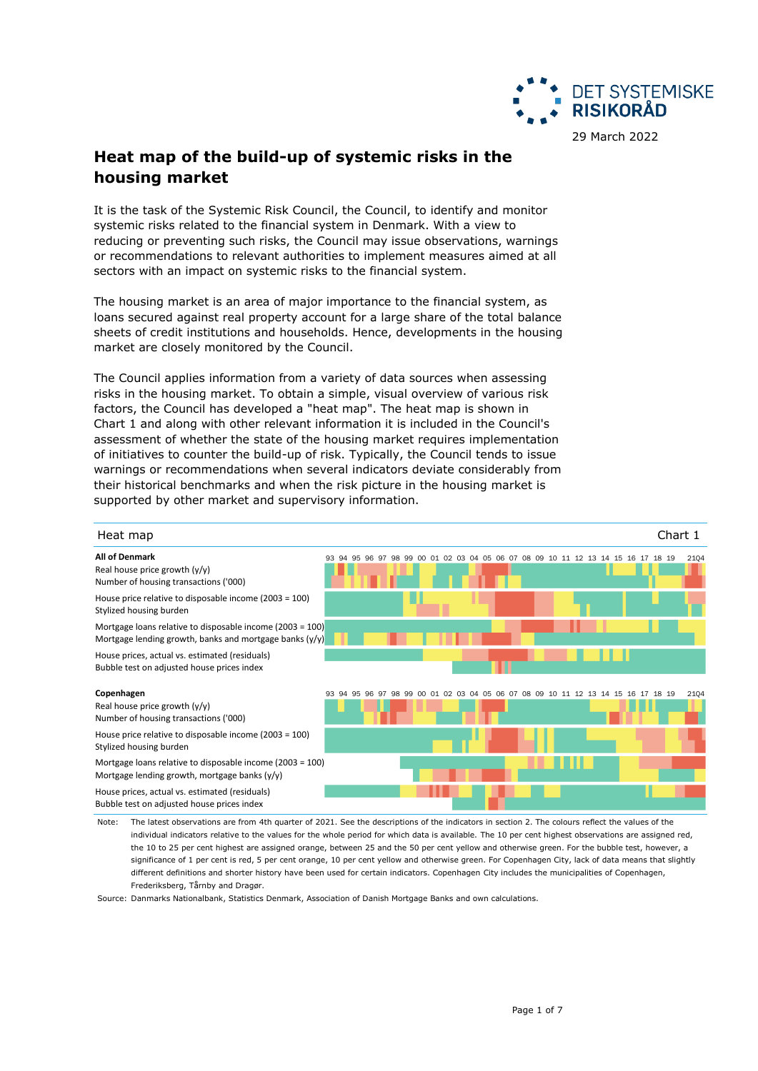

# **Heat map of the build-up of systemic risks in the housing market**

It is the task of the Systemic Risk Council, the Council, to identify and monitor systemic risks related to the financial system in Denmark. With a view to reducing or preventing such risks, the Council may issue observations, warnings or recommendations to relevant authorities to implement measures aimed at all sectors with an impact on systemic risks to the financial system.

The housing market is an area of major importance to the financial system, as loans secured against real property account for a large share of the total balance sheets of credit institutions and households. Hence, developments in the housing market are closely monitored by the Council.

The Council applies information from a variety of data sources when assessing risks in the housing market. To obtain a simple, visual overview of various risk factors, the Council has developed a "heat map". The heat map is shown in Chart 1 and along with other relevant information it is included in the Council's assessment of whether the state of the housing market requires implementation of initiatives to counter the build-up of risk. Typically, the Council tends to issue warnings or recommendations when several indicators deviate considerably from their historical benchmarks and when the risk picture in the housing market is supported by other market and supervisory information.



Note: The latest observations are from 4th quarter of 2021. See the descriptions of the indicators in section 2. The colours reflect the values of the individual indicators relative to the values for the whole period for which data is available. The 10 per cent highest observations are assigned red, the 10 to 25 per cent highest are assigned orange, between 25 and the 50 per cent yellow and otherwise green. For the bubble test, however, a significance of 1 per cent is red, 5 per cent orange, 10 per cent yellow and otherwise green. For Copenhagen City, lack of data means that slightly different definitions and shorter history have been used for certain indicators. Copenhagen City includes the municipalities of Copenhagen, Frederiksberg, Tårnby and Dragør.

Source: Danmarks Nationalbank, Statistics Denmark, Association of Danish Mortgage Banks and own calculations.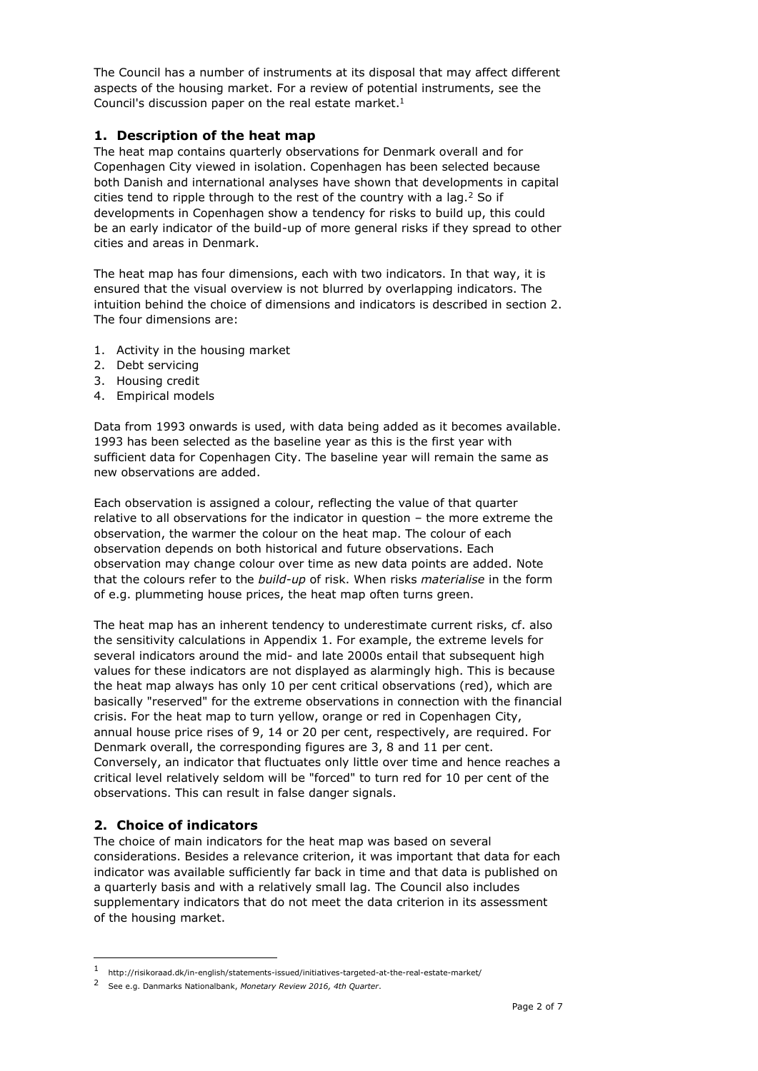The Council has a number of instruments at its disposal that may affect different aspects of the housing market. For a review of potential instruments, see the Council's discussion paper on the real estate market.<sup>1</sup>

## **1. Description of the heat map**

The heat map contains quarterly observations for Denmark overall and for Copenhagen City viewed in isolation. Copenhagen has been selected because both Danish and international analyses have shown that developments in capital cities tend to ripple through to the rest of the country with a lag. $2$  So if developments in Copenhagen show a tendency for risks to build up, this could be an early indicator of the build-up of more general risks if they spread to other cities and areas in Denmark.

The heat map has four dimensions, each with two indicators. In that way, it is ensured that the visual overview is not blurred by overlapping indicators. The intuition behind the choice of dimensions and indicators is described in section 2. The four dimensions are:

- 1. Activity in the housing market
- 2. Debt servicing
- 3. Housing credit
- 4. Empirical models

Data from 1993 onwards is used, with data being added as it becomes available. 1993 has been selected as the baseline year as this is the first year with sufficient data for Copenhagen City. The baseline year will remain the same as new observations are added.

Each observation is assigned a colour, reflecting the value of that quarter relative to all observations for the indicator in question – the more extreme the observation, the warmer the colour on the heat map. The colour of each observation depends on both historical and future observations. Each observation may change colour over time as new data points are added. Note that the colours refer to the *build-up* of risk. When risks *materialise* in the form of e.g. plummeting house prices, the heat map often turns green.

The heat map has an inherent tendency to underestimate current risks, cf. also the sensitivity calculations in Appendix 1. For example, the extreme levels for several indicators around the mid- and late 2000s entail that subsequent high values for these indicators are not displayed as alarmingly high. This is because the heat map always has only 10 per cent critical observations (red), which are basically "reserved" for the extreme observations in connection with the financial crisis. For the heat map to turn yellow, orange or red in Copenhagen City, annual house price rises of 9, 14 or 20 per cent, respectively, are required. For Denmark overall, the corresponding figures are 3, 8 and 11 per cent. Conversely, an indicator that fluctuates only little over time and hence reaches a critical level relatively seldom will be "forced" to turn red for 10 per cent of the observations. This can result in false danger signals.

# **2. Choice of indicators**

ł

The choice of main indicators for the heat map was based on several considerations. Besides a relevance criterion, it was important that data for each indicator was available sufficiently far back in time and that data is published on a quarterly basis and with a relatively small lag. The Council also includes supplementary indicators that do not meet the data criterion in its assessment of the housing market.

<sup>1</sup> http://risikoraad.dk/in-english/statements-issued/initiatives-targeted-at-the-real-estate-market/

<sup>2</sup> See e.g. Danmarks Nationalbank, *Monetary Review 2016, 4th Quarter*.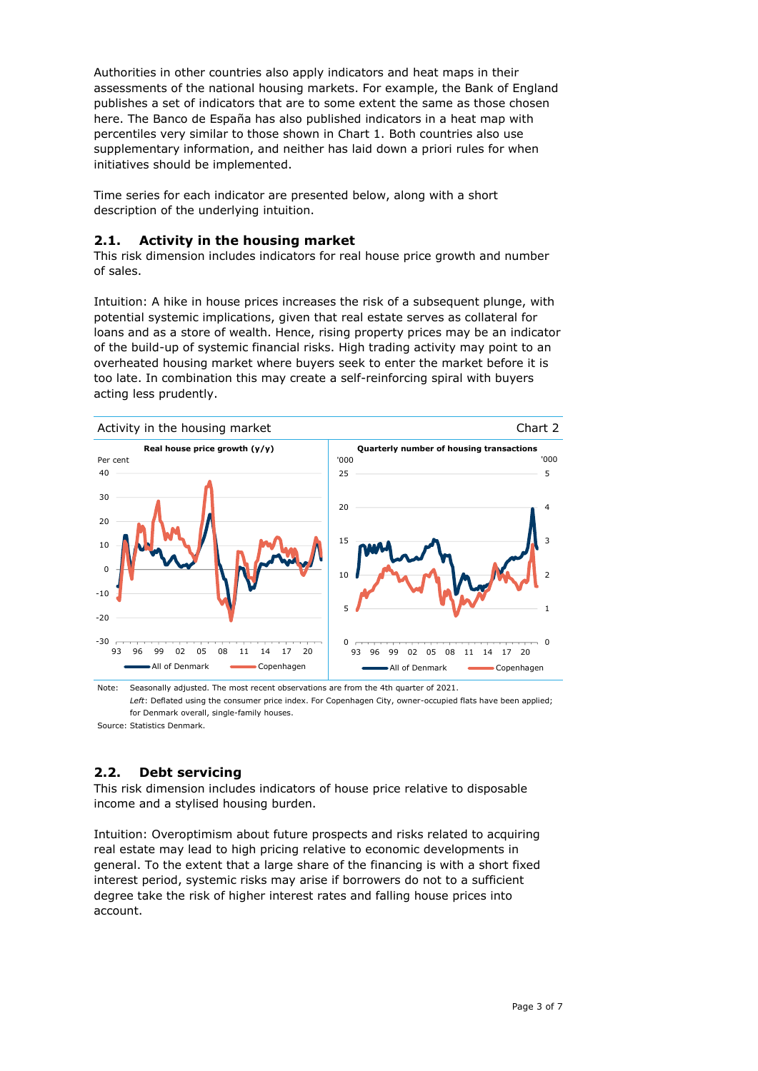Authorities in other countries also apply indicators and heat maps in their assessments of the national housing markets. For example, the Bank of England publishes a set of indicators that are to some extent the same as those chosen here. The Banco de España has also published indicators in a heat map with percentiles very similar to those shown in Chart 1. Both countries also use supplementary information, and neither has laid down a priori rules for when initiatives should be implemented.

Time series for each indicator are presented below, along with a short description of the underlying intuition.

# **2.1. Activity in the housing market**

This risk dimension includes indicators for real house price growth and number of sales.

Intuition: A hike in house prices increases the risk of a subsequent plunge, with potential systemic implications, given that real estate serves as collateral for loans and as a store of wealth. Hence, rising property prices may be an indicator of the build-up of systemic financial risks. High trading activity may point to an overheated housing market where buyers seek to enter the market before it is too late. In combination this may create a self-reinforcing spiral with buyers acting less prudently.



Note: Seasonally adjusted. The most recent observations are from the 4th quarter of 2021. *Left*: Deflated using the consumer price index. For Copenhagen City, owner-occupied flats have been applied; for Denmark overall, single-family houses.

Source: Statistics Denmark.

# **2.2. Debt servicing**

This risk dimension includes indicators of house price relative to disposable income and a stylised housing burden.

Intuition: Overoptimism about future prospects and risks related to acquiring real estate may lead to high pricing relative to economic developments in general. To the extent that a large share of the financing is with a short fixed interest period, systemic risks may arise if borrowers do not to a sufficient degree take the risk of higher interest rates and falling house prices into account.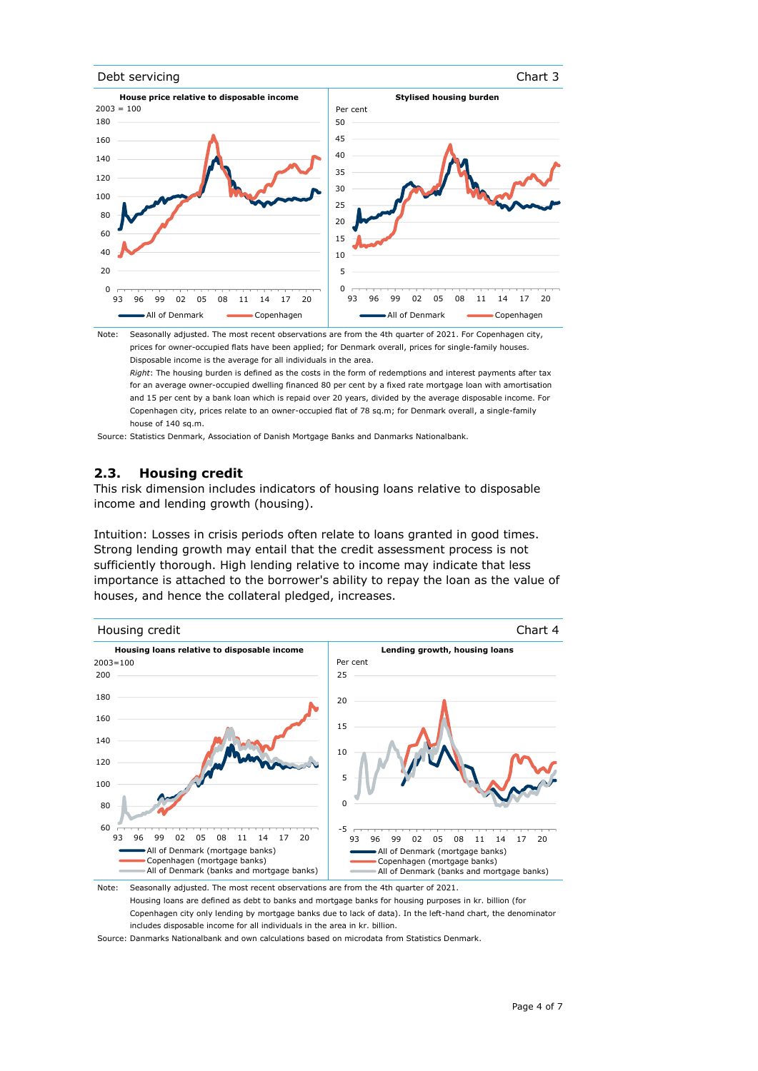#### Debt servicing Chart 3





Note: Seasonally adjusted. The most recent observations are from the 4th quarter of 2021. For Copenhagen city, prices for owner-occupied flats have been applied; for Denmark overall, prices for single-family houses. Disposable income is the average for all individuals in the area.

*Right*: The housing burden is defined as the costs in the form of redemptions and interest payments after tax for an average owner-occupied dwelling financed 80 per cent by a fixed rate mortgage loan with amortisation and 15 per cent by a bank loan which is repaid over 20 years, divided by the average disposable income. For Copenhagen city, prices relate to an owner-occupied flat of 78 sq.m; for Denmark overall, a single-family house of 140 sq.m.

Source: Statistics Denmark, Association of Danish Mortgage Banks and Danmarks Nationalbank.

#### **2.3. Housing credit**

This risk dimension includes indicators of housing loans relative to disposable income and lending growth (housing).

Intuition: Losses in crisis periods often relate to loans granted in good times. Strong lending growth may entail that the credit assessment process is not sufficiently thorough. High lending relative to income may indicate that less importance is attached to the borrower's ability to repay the loan as the value of houses, and hence the collateral pledged, increases.



Housing loans are defined as debt to banks and mortgage banks for housing purposes in kr. billion (for Copenhagen city only lending by mortgage banks due to lack of data). In the left-hand chart, the denominator includes disposable income for all individuals in the area in kr. billion.

Source: Danmarks Nationalbank and own calculations based on microdata from Statistics Denmark.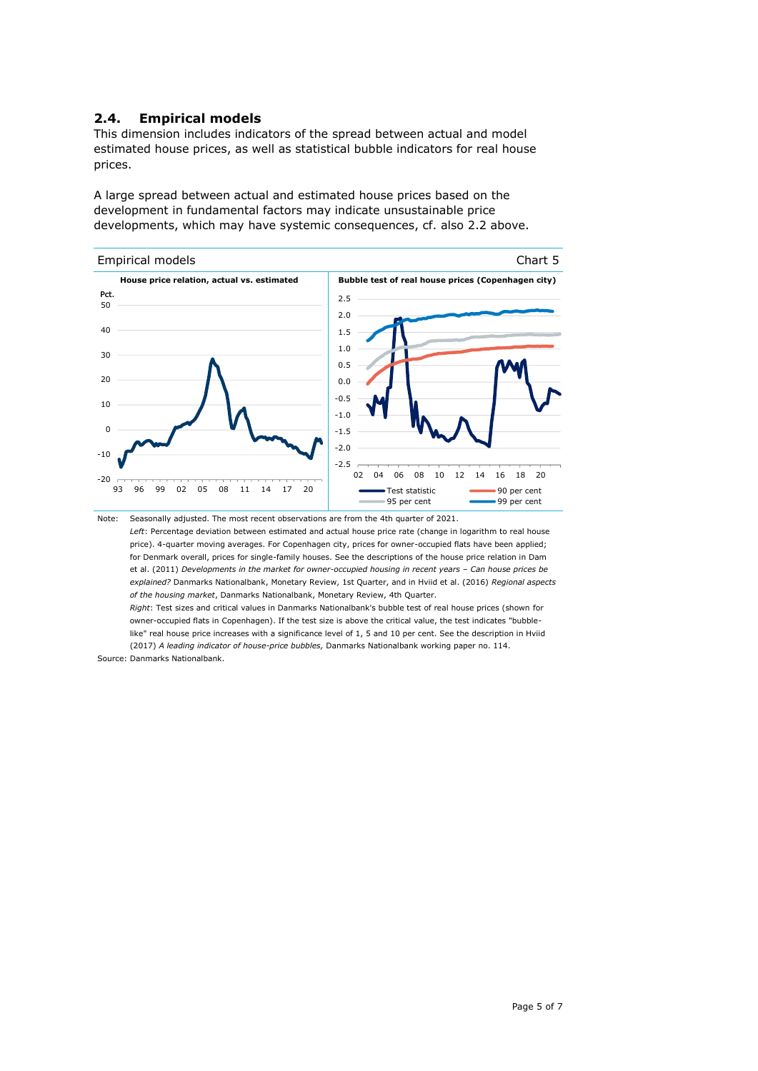## **2.4. Empirical models**

This dimension includes indicators of the spread between actual and model estimated house prices, as well as statistical bubble indicators for real house prices.

A large spread between actual and estimated house prices based on the development in fundamental factors may indicate unsustainable price developments, which may have systemic consequences, cf. also 2.2 above.



Seasonally adjusted. The most recent observations are from the 4th quarter of 2021. *Left*: Percentage deviation between estimated and actual house price rate (change in logarithm to real house price). 4-quarter moving averages. For Copenhagen city, prices for owner-occupied flats have been applied; for Denmark overall, prices for single-family houses. See the descriptions of the house price relation in Dam et al. (2011) *Developments in the market for owner-occupied housing in recent years - Can house prices be explained?* Danmarks Nationalbank, Monetary Review, 1st Quarter, and in Hviid et al. (2016) *Regional aspects of the housing market*, Danmarks Nationalbank, Monetary Review, 4th Quarter. *Right*: Test sizes and critical values in Danmarks Nationalbank's bubble test of real house prices (shown for

Source: Danmarks Nationalbank. owner-occupied flats in Copenhagen). If the test size is above the critical value, the test indicates "bubblelike" real house price increases with a significance level of 1, 5 and 10 per cent. See the description in Hviid (2017) *A leading indicator of house-price bubbles,* Danmarks Nationalbank working paper no. 114.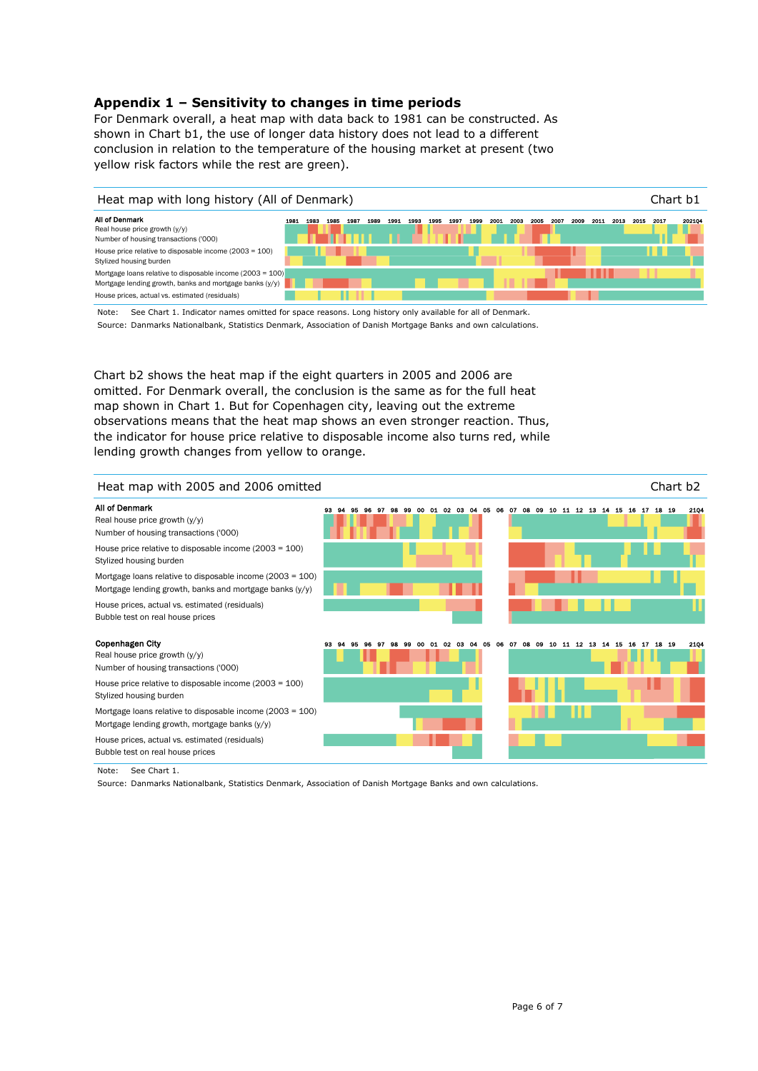## **Appendix 1 – Sensitivity to changes in time periods**

For Denmark overall, a heat map with data back to 1981 can be constructed. As shown in Chart b1, the use of longer data history does not lead to a different conclusion in relation to the temperature of the housing market at present (two yellow risk factors while the rest are green).



Note: Source: Danmarks Nationalbank, Statistics Denmark, Association of Danish Mortgage Banks and own calculations. See Chart 1. Indicator names omitted for space reasons. Long history only available for all of Denmark.

Chart b2 shows the heat map if the eight quarters in 2005 and 2006 are omitted. For Denmark overall, the conclusion is the same as for the full heat map shown in Chart 1. But for Copenhagen city, leaving out the extreme observations means that the heat map shows an even stronger reaction. Thus, the indicator for house price relative to disposable income also turns red, while lending growth changes from yellow to orange.



Note: See Chart 1.

Source: Danmarks Nationalbank, Statistics Denmark, Association of Danish Mortgage Banks and own calculations.